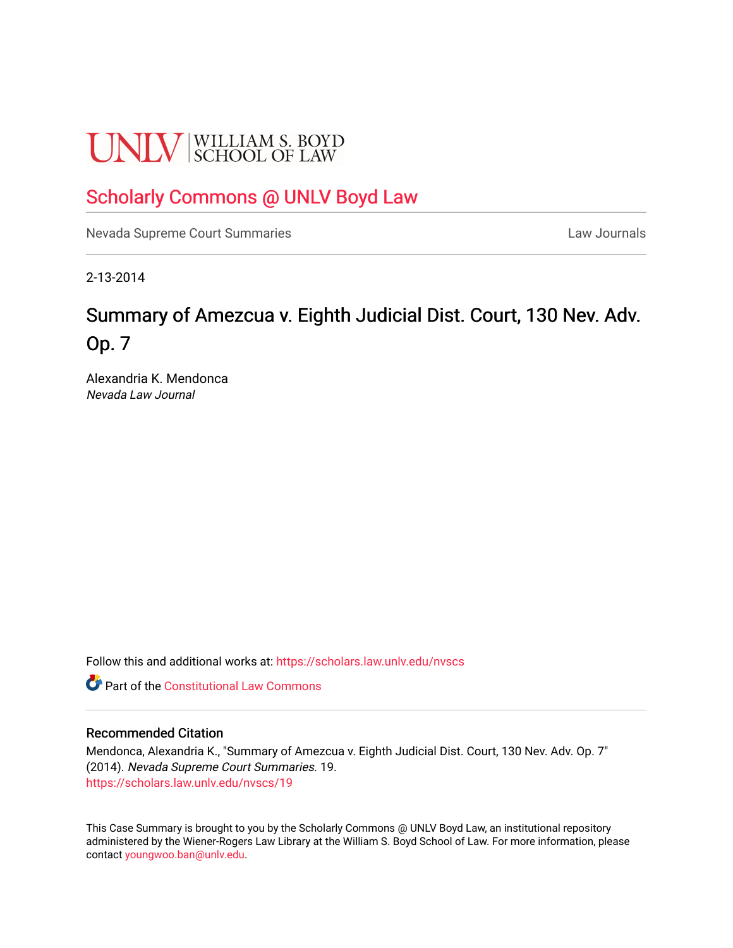# **UNLV** SCHOOL OF LAW

## [Scholarly Commons @ UNLV Boyd Law](https://scholars.law.unlv.edu/)

[Nevada Supreme Court Summaries](https://scholars.law.unlv.edu/nvscs) **Law Journals** Law Journals

2-13-2014

## Summary of Amezcua v. Eighth Judicial Dist. Court, 130 Nev. Adv. Op. 7

Alexandria K. Mendonca Nevada Law Journal

Follow this and additional works at: [https://scholars.law.unlv.edu/nvscs](https://scholars.law.unlv.edu/nvscs?utm_source=scholars.law.unlv.edu%2Fnvscs%2F19&utm_medium=PDF&utm_campaign=PDFCoverPages)

**C** Part of the Constitutional Law Commons

#### Recommended Citation

Mendonca, Alexandria K., "Summary of Amezcua v. Eighth Judicial Dist. Court, 130 Nev. Adv. Op. 7" (2014). Nevada Supreme Court Summaries. 19. [https://scholars.law.unlv.edu/nvscs/19](https://scholars.law.unlv.edu/nvscs/19?utm_source=scholars.law.unlv.edu%2Fnvscs%2F19&utm_medium=PDF&utm_campaign=PDFCoverPages) 

This Case Summary is brought to you by the Scholarly Commons @ UNLV Boyd Law, an institutional repository administered by the Wiener-Rogers Law Library at the William S. Boyd School of Law. For more information, please contact [youngwoo.ban@unlv.edu](mailto:youngwoo.ban@unlv.edu).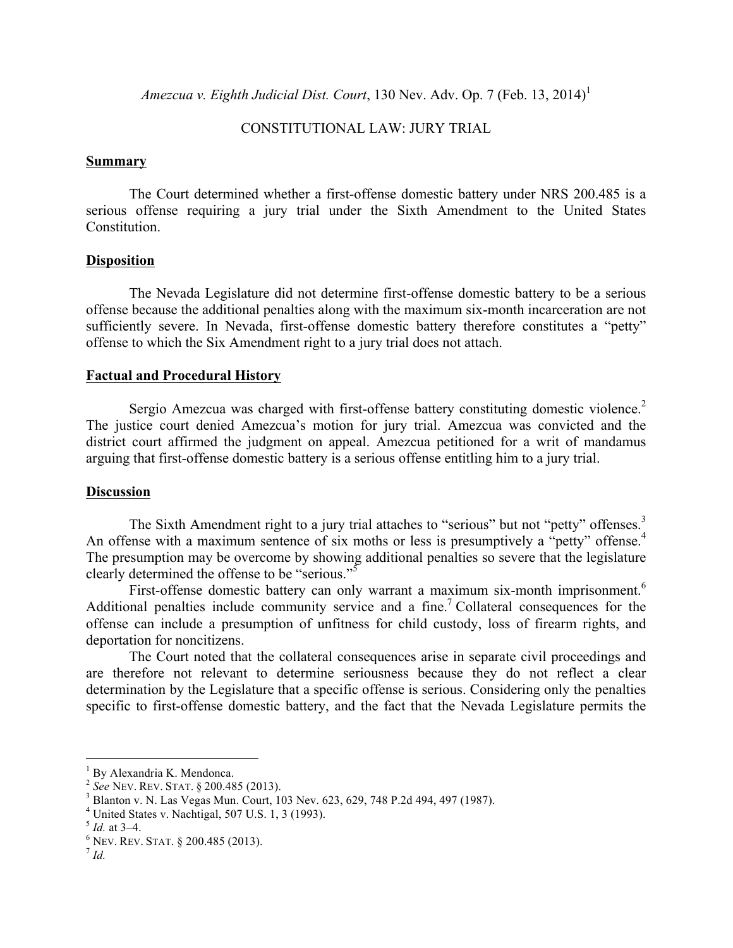*Amezcua v. Eighth Judicial Dist. Court,* 130 Nev. Adv. Op. 7 (Feb. 13, 2014)<sup>1</sup>

#### CONSTITUTIONAL LAW: JURY TRIAL

#### **Summary**

The Court determined whether a first-offense domestic battery under NRS 200.485 is a serious offense requiring a jury trial under the Sixth Amendment to the United States **Constitution** 

#### **Disposition**

The Nevada Legislature did not determine first-offense domestic battery to be a serious offense because the additional penalties along with the maximum six-month incarceration are not sufficiently severe. In Nevada, first-offense domestic battery therefore constitutes a "petty" offense to which the Six Amendment right to a jury trial does not attach.

#### **Factual and Procedural History**

Sergio Amezcua was charged with first-offense battery constituting domestic violence.<sup>2</sup> The justice court denied Amezcua's motion for jury trial. Amezcua was convicted and the district court affirmed the judgment on appeal. Amezcua petitioned for a writ of mandamus arguing that first-offense domestic battery is a serious offense entitling him to a jury trial.

#### **Discussion**

The Sixth Amendment right to a jury trial attaches to "serious" but not "petty" offenses. $3$ An offense with a maximum sentence of six moths or less is presumptively a "petty" offense.<sup>4</sup> The presumption may be overcome by showing additional penalties so severe that the legislature clearly determined the offense to be "serious."<sup>5</sup>

First-offense domestic battery can only warrant a maximum six-month imprisonment.<sup>6</sup> Additional penalties include community service and a fine.<sup>7</sup> Collateral consequences for the offense can include a presumption of unfitness for child custody, loss of firearm rights, and deportation for noncitizens.

The Court noted that the collateral consequences arise in separate civil proceedings and are therefore not relevant to determine seriousness because they do not reflect a clear determination by the Legislature that a specific offense is serious. Considering only the penalties specific to first-offense domestic battery, and the fact that the Nevada Legislature permits the

<sup>1</sup> By Alexandria K. Mendonca. <sup>2</sup> *See* NEV. REV. STAT. § 200.485 (2013). <sup>3</sup> Blanton v. N. Las Vegas Mun. Court, 103 Nev. 623, 629, 748 P.2d 494, 497 (1987).

<sup>&</sup>lt;sup>4</sup> United States v. Nachtigal, 507 U.S. 1, 3 (1993).<br><sup>5</sup> *Id.* at 3–4.<br><sup>6</sup> NEV. REV. STAT. § 200.485 (2013).<br><sup>7</sup> *Id.*